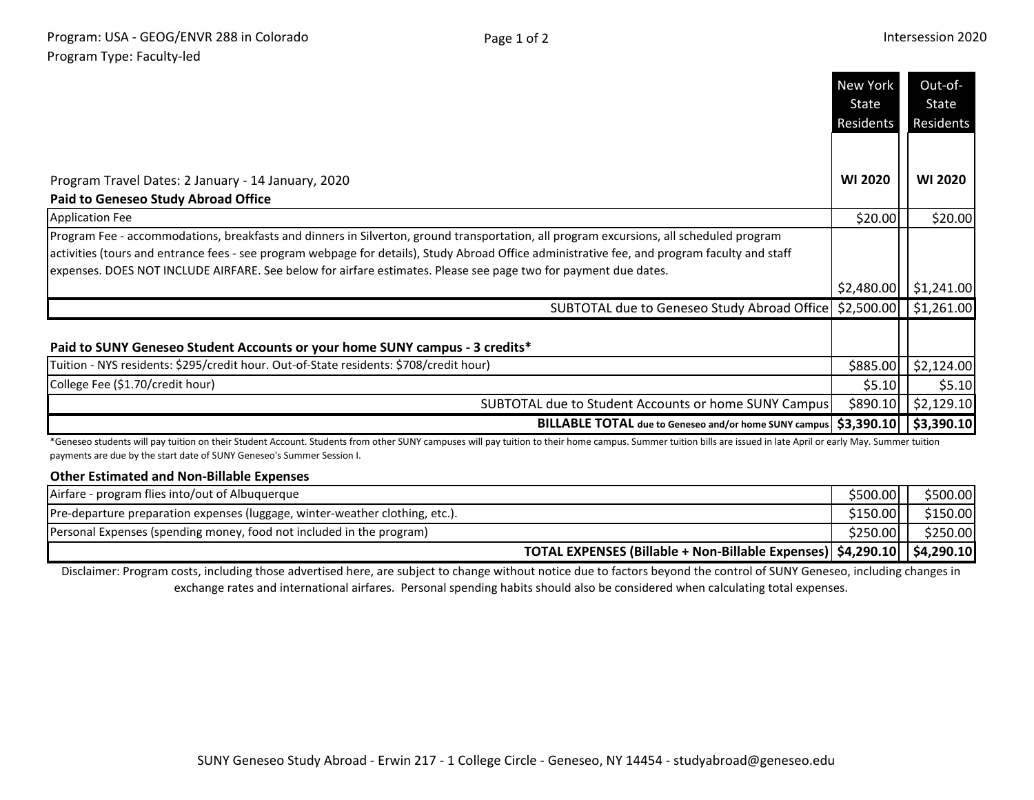|                                                                                                                                                                                                                                                                                                                                                                                                             | New York<br>State | Out-of-<br>State |
|-------------------------------------------------------------------------------------------------------------------------------------------------------------------------------------------------------------------------------------------------------------------------------------------------------------------------------------------------------------------------------------------------------------|-------------------|------------------|
|                                                                                                                                                                                                                                                                                                                                                                                                             | Residents         | Residents        |
|                                                                                                                                                                                                                                                                                                                                                                                                             |                   |                  |
| Program Travel Dates: 2 January - 14 January, 2020                                                                                                                                                                                                                                                                                                                                                          | <b>WI 2020</b>    | <b>WI 2020</b>   |
| <b>Paid to Geneseo Study Abroad Office</b>                                                                                                                                                                                                                                                                                                                                                                  |                   |                  |
| <b>Application Fee</b>                                                                                                                                                                                                                                                                                                                                                                                      | \$20.00           | \$20.00          |
| Program Fee - accommodations, breakfasts and dinners in Silverton, ground transportation, all program excursions, all scheduled program<br>activities (tours and entrance fees - see program webpage for details), Study Abroad Office administrative fee, and program faculty and staff<br>expenses. DOES NOT INCLUDE AIRFARE. See below for airfare estimates. Please see page two for payment due dates. |                   |                  |
|                                                                                                                                                                                                                                                                                                                                                                                                             | \$2,480.00        | \$1,241.00       |
| SUBTOTAL due to Geneseo Study Abroad Office   \$2,500.00                                                                                                                                                                                                                                                                                                                                                    |                   | \$1,261.00       |
| Paid to SUNY Geneseo Student Accounts or your home SUNY campus - 3 credits*                                                                                                                                                                                                                                                                                                                                 |                   |                  |
| Tuition - NYS residents: \$295/credit hour. Out-of-State residents: \$708/credit hour)                                                                                                                                                                                                                                                                                                                      | \$885.00          | \$2,124.00       |
| College Fee (\$1.70/credit hour)                                                                                                                                                                                                                                                                                                                                                                            | \$5.10            | \$5.10           |
| SUBTOTAL due to Student Accounts or home SUNY Campus                                                                                                                                                                                                                                                                                                                                                        | \$890.10          | \$2,129.10       |
| BILLABLE TOTAL due to Geneseo and/or home SUNY campus   \$3,390.10                                                                                                                                                                                                                                                                                                                                          |                   | \$3,390.10       |
| *Geneseo students will pay tuition on their Student Account. Students from other SUNY campuses will pay tuition to their home campus. Summer tuition bills are issued in late April or early May. Summer tuition                                                                                                                                                                                            |                   |                  |

payments are due by the start date of SUNY Geneseo's Summer Session I.

## **Other Estimated and Non-Billable Expenses**

| Airfare - program flies into/out of Albuquerque                              | \$500.00  | \$500.00 |
|------------------------------------------------------------------------------|-----------|----------|
| Pre-departure preparation expenses (luggage, winter-weather clothing, etc.). | \$150.00  | \$150.00 |
| Personal Expenses (spending money, food not included in the program)         | $$250.00$ | \$250.00 |
| TOTAL EXPENSES (Billable + Non-Billable Expenses) \$4,290.10   \$4,290.10    |           |          |

Disclaimer: Program costs, including those advertised here, are subject to change without notice due to factors beyond the control of SUNY Geneseo, including changes in exchange rates and international airfares. Personal spending habits should also be considered when calculating total expenses.